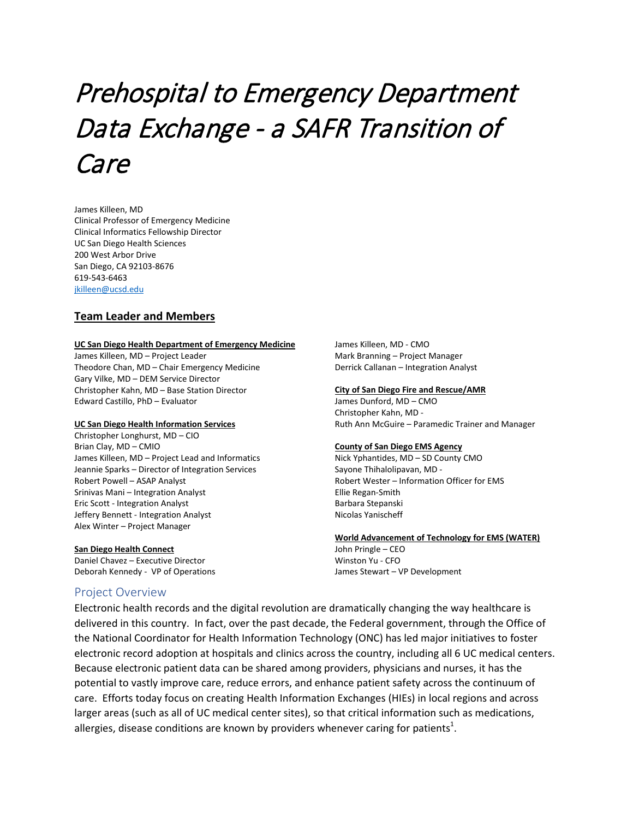# Prehospital to Emergency Department Data Exchange - a SAFR Transition of Care

James Killeen, MD Clinical Professor of Emergency Medicine Clinical Informatics Fellowship Director UC San Diego Health Sciences 200 West Arbor Drive San Diego, CA 92103-8676 619-543-6463 [jkilleen@ucsd.edu](mailto:jkilleen@ucsd.edu)

#### **Team Leader and Members**

#### **UC San Diego Health Department of Emergency Medicine**

James Killeen, MD – Project Leader Theodore Chan, MD – Chair Emergency Medicine Gary Vilke, MD – DEM Service Director Christopher Kahn, MD – Base Station Director Edward Castillo, PhD – Evaluator

#### **UC San Diego Health Information Services**

Christopher Longhurst, MD – CIO Brian Clay, MD – CMIO James Killeen, MD – Project Lead and Informatics Jeannie Sparks – Director of Integration Services Robert Powell – ASAP Analyst Srinivas Mani – Integration Analyst Eric Scott - Integration Analyst Jeffery Bennett - Integration Analyst Alex Winter – Project Manager

**San Diego Health Connect** Daniel Chavez – Executive Director Deborah Kennedy - VP of Operations

#### Project Overview

James Killeen, MD - CMO Mark Branning – Project Manager Derrick Callanan – Integration Analyst

#### **City of San Diego Fire and Rescue/AMR**

James Dunford, MD – CMO Christopher Kahn, MD - Ruth Ann McGuire – Paramedic Trainer and Manager

#### **County of San Diego EMS Agency**

Nick Yphantides, MD – SD County CMO Sayone Thihalolipavan, MD - Robert Wester – Information Officer for EMS Ellie Regan-Smith Barbara Stepanski Nicolas Yanischeff

#### **World Advancement of Technology for EMS (WATER)**

John Pringle – CEO Winston Yu - CFO James Stewart – VP Development

Electronic health records and the digital revolution are dramatically changing the way healthcare is delivered in this country. In fact, over the past decade, the Federal government, through the Office of the National Coordinator for Health Information Technology (ONC) has led major initiatives to foster electronic record adoption at hospitals and clinics across the country, including all 6 UC medical centers. Because electronic patient data can be shared among providers, physicians and nurses, it has the potential to vastly improve care, reduce errors, and enhance patient safety across the continuum of care. Efforts today focus on creating Health Information Exchanges (HIEs) in local regions and across larger areas (such as all of UC medical center sites), so that critical information such as medications, allergies, disease conditions are known by providers whenever caring for patients<sup>1</sup>.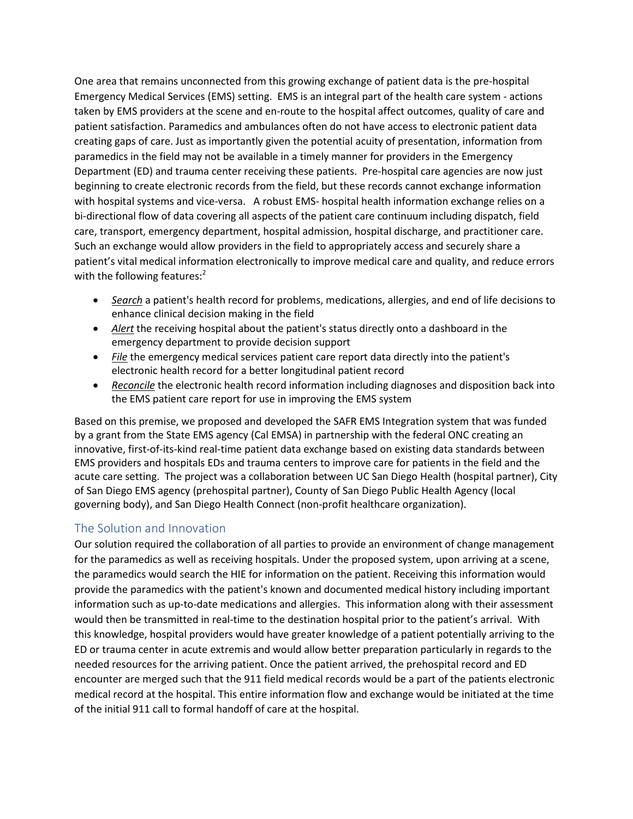One area that remains unconnected from this growing exchange of patient data is the pre-hospital Emergency Medical Services (EMS) setting. EMS is an integral part of the health care system - actions taken by EMS providers at the scene and en-route to the hospital affect outcomes, quality of care and patient satisfaction. Paramedics and ambulances often do not have access to electronic patient data creating gaps of care. Just as importantly given the potential acuity of presentation, information from paramedics in the field may not be available in a timely manner for providers in the Emergency Department (ED) and trauma center receiving these patients. Pre-hospital care agencies are now just beginning to create electronic records from the field, but these records cannot exchange information with hospital systems and vice-versa. A robust EMS- hospital health information exchange relies on a bi-directional flow of data covering all aspects of the patient care continuum including dispatch, field care, transport, emergency department, hospital admission, hospital discharge, and practitioner care. Such an exchange would allow providers in the field to appropriately access and securely share a patient's vital medical information electronically to improve medical care and quality, and reduce errors with the following features: $2$ 

- *Search* a patient's health record for problems, medications, allergies, and end of life decisions to enhance clinical decision making in the field
- *Alert* the receiving hospital about the patient's status directly onto a dashboard in the emergency department to provide decision support
- *File* the emergency medical services patient care report data directly into the patient's electronic health record for a better longitudinal patient record
- *Reconcile* the electronic health record information including diagnoses and disposition back into the EMS patient care report for use in improving the EMS system

Based on this premise, we proposed and developed the SAFR EMS Integration system that was funded by a grant from the State EMS agency (Cal EMSA) in partnership with the federal ONC creating an innovative, first-of-its-kind real-time patient data exchange based on existing data standards between EMS providers and hospitals EDs and trauma centers to improve care for patients in the field and the acute care setting. The project was a collaboration between UC San Diego Health (hospital partner), City of San Diego EMS agency (prehospital partner), County of San Diego Public Health Agency (local governing body), and San Diego Health Connect (non-profit healthcare organization).

# The Solution and Innovation

Our solution required the collaboration of all parties to provide an environment of change management for the paramedics as well as receiving hospitals. Under the proposed system, upon arriving at a scene, the paramedics would search the HIE for information on the patient. Receiving this information would provide the paramedics with the patient's known and documented medical history including important information such as up-to-date medications and allergies. This information along with their assessment would then be transmitted in real-time to the destination hospital prior to the patient's arrival. With this knowledge, hospital providers would have greater knowledge of a patient potentially arriving to the ED or trauma center in acute extremis and would allow better preparation particularly in regards to the needed resources for the arriving patient. Once the patient arrived, the prehospital record and ED encounter are merged such that the 911 field medical records would be a part of the patients electronic medical record at the hospital. This entire information flow and exchange would be initiated at the time of the initial 911 call to formal handoff of care at the hospital.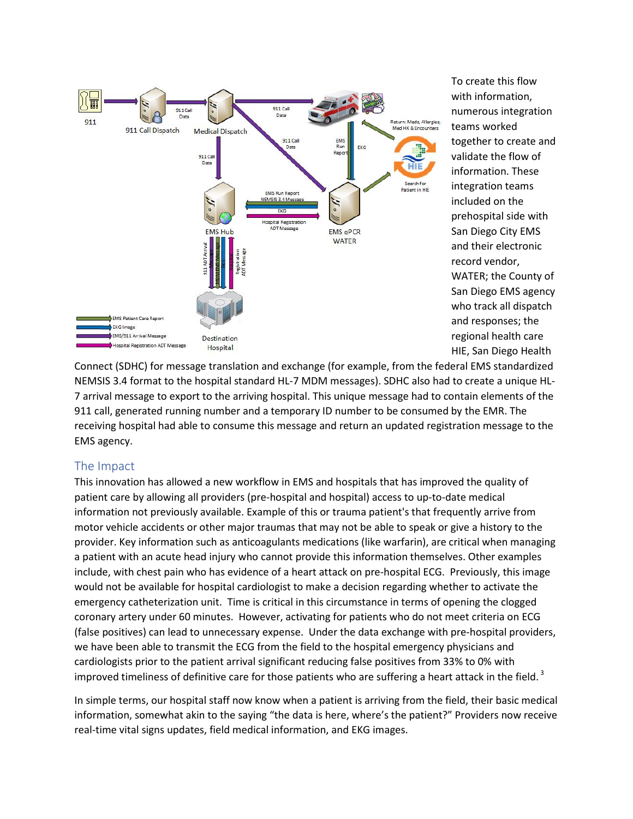

To create this flow with information, numerous integration teams worked together to create and validate the flow of information. These integration teams included on the prehospital side with San Diego City EMS and their electronic record vendor, WATER; the County of San Diego EMS agency who track all dispatch and responses; the regional health care HIE, San Diego Health

Connect (SDHC) for message translation and exchange (for example, from the federal EMS standardized NEMSIS 3.4 format to the hospital standard HL-7 MDM messages). SDHC also had to create a unique HL-7 arrival message to export to the arriving hospital. This unique message had to contain elements of the 911 call, generated running number and a temporary ID number to be consumed by the EMR. The receiving hospital had able to consume this message and return an updated registration message to the EMS agency.

## The Impact

This innovation has allowed a new workflow in EMS and hospitals that has improved the quality of patient care by allowing all providers (pre-hospital and hospital) access to up-to-date medical information not previously available. Example of this or trauma patient's that frequently arrive from motor vehicle accidents or other major traumas that may not be able to speak or give a history to the provider. Key information such as anticoagulants medications (like warfarin), are critical when managing a patient with an acute head injury who cannot provide this information themselves. Other examples include, with chest pain who has evidence of a heart attack on pre-hospital ECG. Previously, this image would not be available for hospital cardiologist to make a decision regarding whether to activate the emergency catheterization unit. Time is critical in this circumstance in terms of opening the clogged coronary artery under 60 minutes. However, activating for patients who do not meet criteria on ECG (false positives) can lead to unnecessary expense. Under the data exchange with pre-hospital providers, we have been able to transmit the ECG from the field to the hospital emergency physicians and cardiologists prior to the patient arrival significant reducing false positives from 33% to 0% with improved timeliness of definitive care for those patients who are suffering a heart attack in the field.<sup>3</sup>

In simple terms, our hospital staff now know when a patient is arriving from the field, their basic medical information, somewhat akin to the saying "the data is here, where's the patient?" Providers now receive real-time vital signs updates, field medical information, and EKG images.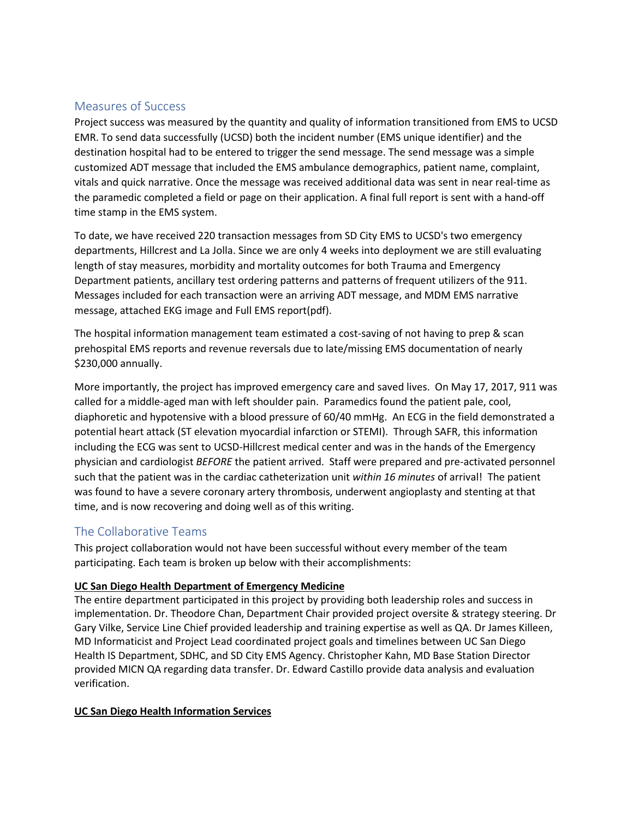## Measures of Success

Project success was measured by the quantity and quality of information transitioned from EMS to UCSD EMR. To send data successfully (UCSD) both the incident number (EMS unique identifier) and the destination hospital had to be entered to trigger the send message. The send message was a simple customized ADT message that included the EMS ambulance demographics, patient name, complaint, vitals and quick narrative. Once the message was received additional data was sent in near real-time as the paramedic completed a field or page on their application. A final full report is sent with a hand-off time stamp in the EMS system.

To date, we have received 220 transaction messages from SD City EMS to UCSD's two emergency departments, Hillcrest and La Jolla. Since we are only 4 weeks into deployment we are still evaluating length of stay measures, morbidity and mortality outcomes for both Trauma and Emergency Department patients, ancillary test ordering patterns and patterns of frequent utilizers of the 911. Messages included for each transaction were an arriving ADT message, and MDM EMS narrative message, attached EKG image and Full EMS report(pdf).

The hospital information management team estimated a cost-saving of not having to prep & scan prehospital EMS reports and revenue reversals due to late/missing EMS documentation of nearly \$230,000 annually.

More importantly, the project has improved emergency care and saved lives. On May 17, 2017, 911 was called for a middle-aged man with left shoulder pain. Paramedics found the patient pale, cool, diaphoretic and hypotensive with a blood pressure of 60/40 mmHg. An ECG in the field demonstrated a potential heart attack (ST elevation myocardial infarction or STEMI). Through SAFR, this information including the ECG was sent to UCSD-Hillcrest medical center and was in the hands of the Emergency physician and cardiologist *BEFORE* the patient arrived. Staff were prepared and pre-activated personnel such that the patient was in the cardiac catheterization unit *within 16 minutes* of arrival! The patient was found to have a severe coronary artery thrombosis, underwent angioplasty and stenting at that time, and is now recovering and doing well as of this writing.

# The Collaborative Teams

This project collaboration would not have been successful without every member of the team participating. Each team is broken up below with their accomplishments:

## **UC San Diego Health Department of Emergency Medicine**

The entire department participated in this project by providing both leadership roles and success in implementation. Dr. Theodore Chan, Department Chair provided project oversite & strategy steering. Dr Gary Vilke, Service Line Chief provided leadership and training expertise as well as QA. Dr James Killeen, MD Informaticist and Project Lead coordinated project goals and timelines between UC San Diego Health IS Department, SDHC, and SD City EMS Agency. Christopher Kahn, MD Base Station Director provided MICN QA regarding data transfer. Dr. Edward Castillo provide data analysis and evaluation verification.

## **UC San Diego Health Information Services**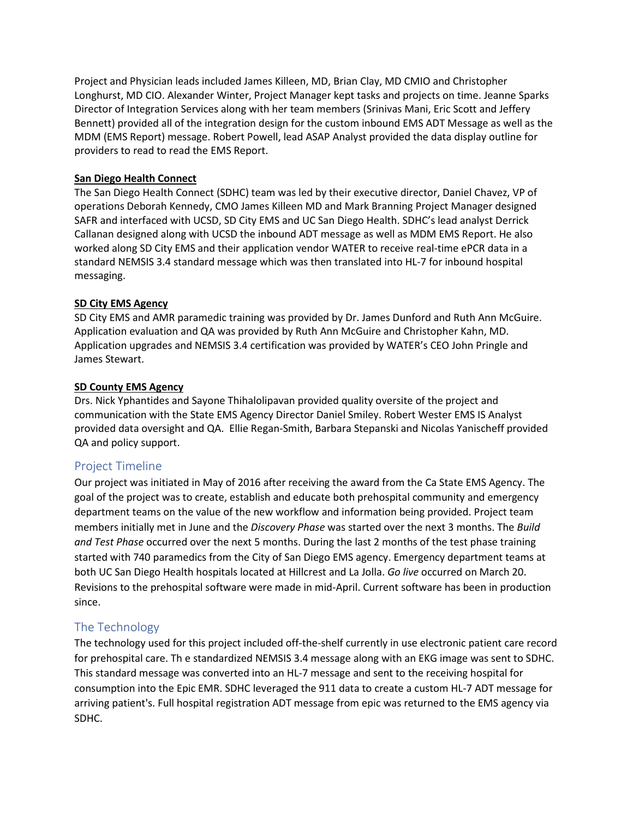Project and Physician leads included James Killeen, MD, Brian Clay, MD CMIO and Christopher Longhurst, MD CIO. Alexander Winter, Project Manager kept tasks and projects on time. Jeanne Sparks Director of Integration Services along with her team members (Srinivas Mani, Eric Scott and Jeffery Bennett) provided all of the integration design for the custom inbound EMS ADT Message as well as the MDM (EMS Report) message. Robert Powell, lead ASAP Analyst provided the data display outline for providers to read to read the EMS Report.

### **San Diego Health Connect**

The San Diego Health Connect (SDHC) team was led by their executive director, Daniel Chavez, VP of operations Deborah Kennedy, CMO James Killeen MD and Mark Branning Project Manager designed SAFR and interfaced with UCSD, SD City EMS and UC San Diego Health. SDHC's lead analyst Derrick Callanan designed along with UCSD the inbound ADT message as well as MDM EMS Report. He also worked along SD City EMS and their application vendor WATER to receive real-time ePCR data in a standard NEMSIS 3.4 standard message which was then translated into HL-7 for inbound hospital messaging.

### **SD City EMS Agency**

SD City EMS and AMR paramedic training was provided by Dr. James Dunford and Ruth Ann McGuire. Application evaluation and QA was provided by Ruth Ann McGuire and Christopher Kahn, MD. Application upgrades and NEMSIS 3.4 certification was provided by WATER's CEO John Pringle and James Stewart.

### **SD County EMS Agency**

Drs. Nick Yphantides and Sayone Thihalolipavan provided quality oversite of the project and communication with the State EMS Agency Director Daniel Smiley. Robert Wester EMS IS Analyst provided data oversight and QA. Ellie Regan-Smith, Barbara Stepanski and Nicolas Yanischeff provided QA and policy support.

# Project Timeline

Our project was initiated in May of 2016 after receiving the award from the Ca State EMS Agency. The goal of the project was to create, establish and educate both prehospital community and emergency department teams on the value of the new workflow and information being provided. Project team members initially met in June and the *Discovery Phase* was started over the next 3 months. The *Build and Test Phase* occurred over the next 5 months. During the last 2 months of the test phase training started with 740 paramedics from the City of San Diego EMS agency. Emergency department teams at both UC San Diego Health hospitals located at Hillcrest and La Jolla. *Go live* occurred on March 20. Revisions to the prehospital software were made in mid-April. Current software has been in production since.

# The Technology

The technology used for this project included off-the-shelf currently in use electronic patient care record for prehospital care. Th e standardized NEMSIS 3.4 message along with an EKG image was sent to SDHC. This standard message was converted into an HL-7 message and sent to the receiving hospital for consumption into the Epic EMR. SDHC leveraged the 911 data to create a custom HL-7 ADT message for arriving patient's. Full hospital registration ADT message from epic was returned to the EMS agency via SDHC.